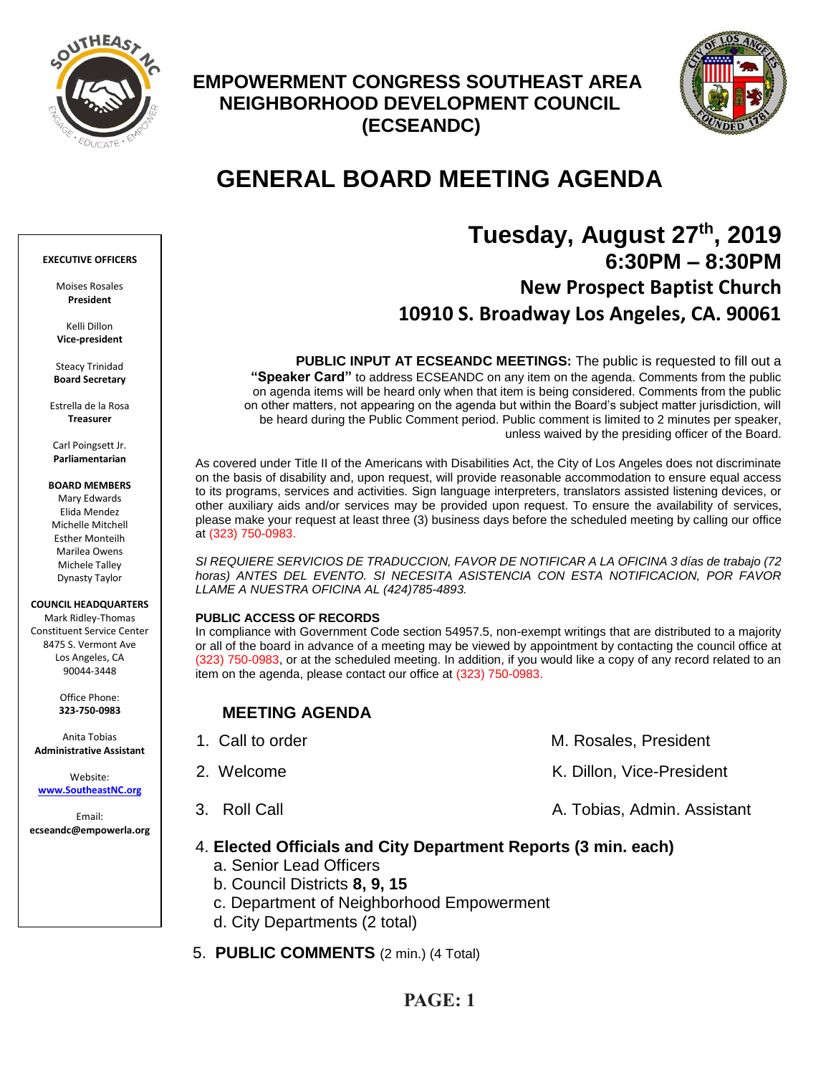

## **EMPOWERMENT CONGRESS SOUTHEAST AREA NEIGHBORHOOD DEVELOPMENT COUNCIL (ECSEANDC)**



# **GENERAL BOARD MEETING AGENDA**

# **Tuesday, August 27th, 2019 6:30PM – 8:30PM New Prospect Baptist Church 10910 S. Broadway Los Angeles, CA. 90061**

**PUBLIC INPUT AT ECSEANDC MEETINGS:** The public is requested to fill out a **"Speaker Card"** to address ECSEANDC on any item on the agenda. Comments from the public on agenda items will be heard only when that item is being considered. Comments from the public on other matters, not appearing on the agenda but within the Board's subject matter jurisdiction, will be heard during the Public Comment period. Public comment is limited to 2 minutes per speaker, unless waived by the presiding officer of the Board.

As covered under Title II of the Americans with Disabilities Act, the City of Los Angeles does not discriminate on the basis of disability and, upon request, will provide reasonable accommodation to ensure equal access to its programs, services and activities. Sign language interpreters, translators assisted listening devices, or other auxiliary aids and/or services may be provided upon request. To ensure the availability of services, please make your request at least three (3) business days before the scheduled meeting by calling our office at (323) 750-0983.

*SI REQUIERE SERVICIOS DE TRADUCCION, FAVOR DE NOTIFICAR A LA OFICINA 3 días de trabajo (72 horas) ANTES DEL EVENTO. SI NECESITA ASISTENCIA CON ESTA NOTIFICACION, POR FAVOR LLAME A NUESTRA OFICINA AL (424)785-4893.*

### **PUBLIC ACCESS OF RECORDS**

In compliance with Government Code section 54957.5, non-exempt writings that are distributed to a majority or all of the board in advance of a meeting may be viewed by appointment by contacting the council office at (323) 750-0983, or at the scheduled meeting. In addition, if you would like a copy of any record related to an item on the agenda, please contact our office at (323) 750-0983.

### **MEETING AGENDA**

| 1. Call to order | M. Rosales, President       |
|------------------|-----------------------------|
| 2. Welcome       | K. Dillon, Vice-President   |
| 3. Roll Call     | A. Tobias, Admin. Assistant |

### 4. **Elected Officials and City Department Reports (3 min. each)**

- a. Senior Lead Officers
- b. Council Districts **8, 9, 15**
- c. Department of Neighborhood Empowerment
- d. City Departments (2 total)
- 5. **PUBLIC COMMENTS** (2 min.) (4 Total)

### **EXECUTIVE OFFICERS**

Moises Rosales **President**

Kelli Dillon **Vice-president**

Steacy Trinidad **Board Secretary**

Estrella de la Rosa **Treasurer**

Carl Poingsett Jr. **Parliamentarian**

**BOARD MEMBERS**

Mary Edwards Elida Mendez Michelle Mitchell Esther Monteilh Marilea Owens Michele Talley Dynasty Taylor

### **COUNCIL HEADQUARTERS**

Mark Ridley-Thomas Constituent Service Center 8475 S. Vermont Ave Los Angeles, CA 90044-3448

> Office Phone: **323-750-0983**

Anita Tobias **Administrative Assistant**

Website: **[www.SoutheastNC.org](http://www.ecseandc.org/)**

Email: **ecseandc@empowerla.org**

### **PAGE: 1**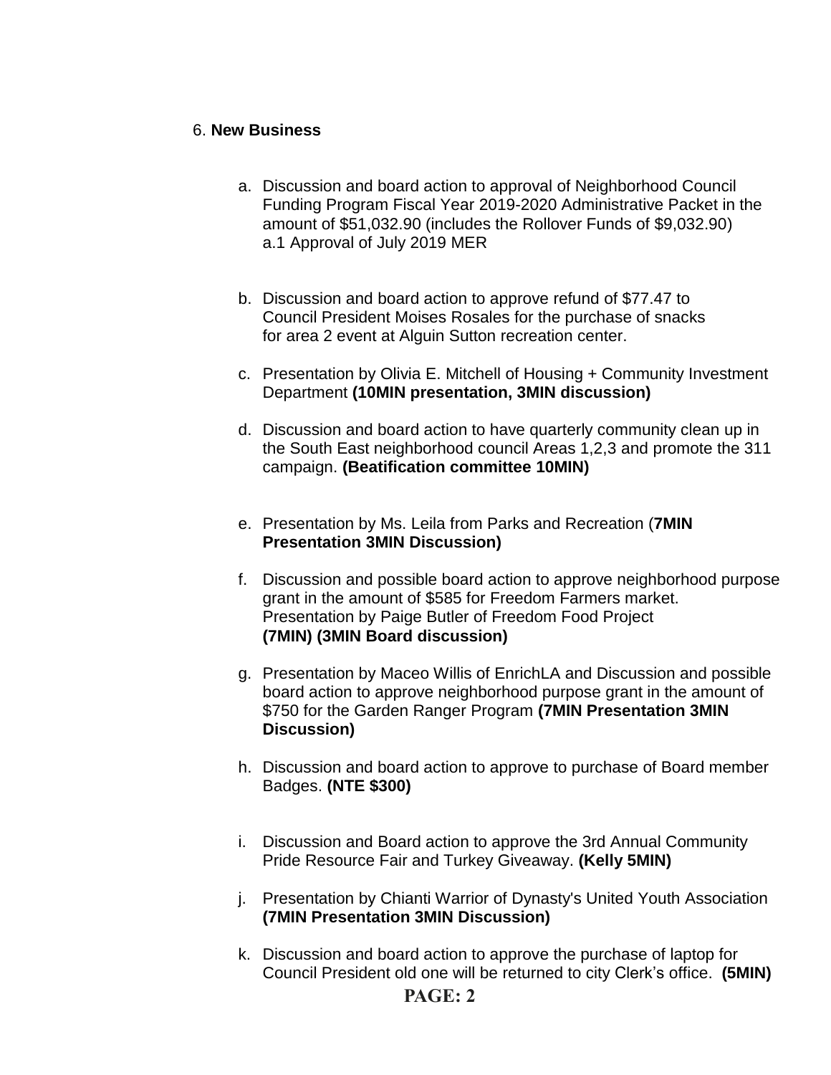### 6. **New Business**

- a. Discussion and board action to approval of Neighborhood Council Funding Program Fiscal Year 2019-2020 Administrative Packet in the amount of \$51,032.90 (includes the Rollover Funds of \$9,032.90) a.1 Approval of July 2019 MER
- b. Discussion and board action to approve refund of \$77.47 to Council President Moises Rosales for the purchase of snacks for area 2 event at Alguin Sutton recreation center.
- c. Presentation by Olivia E. Mitchell of Housing + Community Investment Department **(10MIN presentation, 3MIN discussion)**
- d. Discussion and board action to have quarterly community clean up in the South East neighborhood council Areas 1,2,3 and promote the 311 campaign. **(Beatification committee 10MIN)**
- e. Presentation by Ms. Leila from Parks and Recreation (**7MIN Presentation 3MIN Discussion)**
- f. Discussion and possible board action to approve neighborhood purpose grant in the amount of \$585 for Freedom Farmers market. Presentation by Paige Butler of Freedom Food Project **(7MIN) (3MIN Board discussion)**
- g. Presentation by Maceo Willis of EnrichLA and Discussion and possible board action to approve neighborhood purpose grant in the amount of \$750 for the Garden Ranger Program **(7MIN Presentation 3MIN Discussion)**
- h. Discussion and board action to approve to purchase of Board member Badges. **(NTE \$300)**
- i. Discussion and Board action to approve the 3rd Annual Community Pride Resource Fair and Turkey Giveaway. **(Kelly 5MIN)**
- j. Presentation by Chianti Warrior of Dynasty's United Youth Association **(7MIN Presentation 3MIN Discussion)**
- k. Discussion and board action to approve the purchase of laptop for Council President old one will be returned to city Clerk's office. **(5MIN)**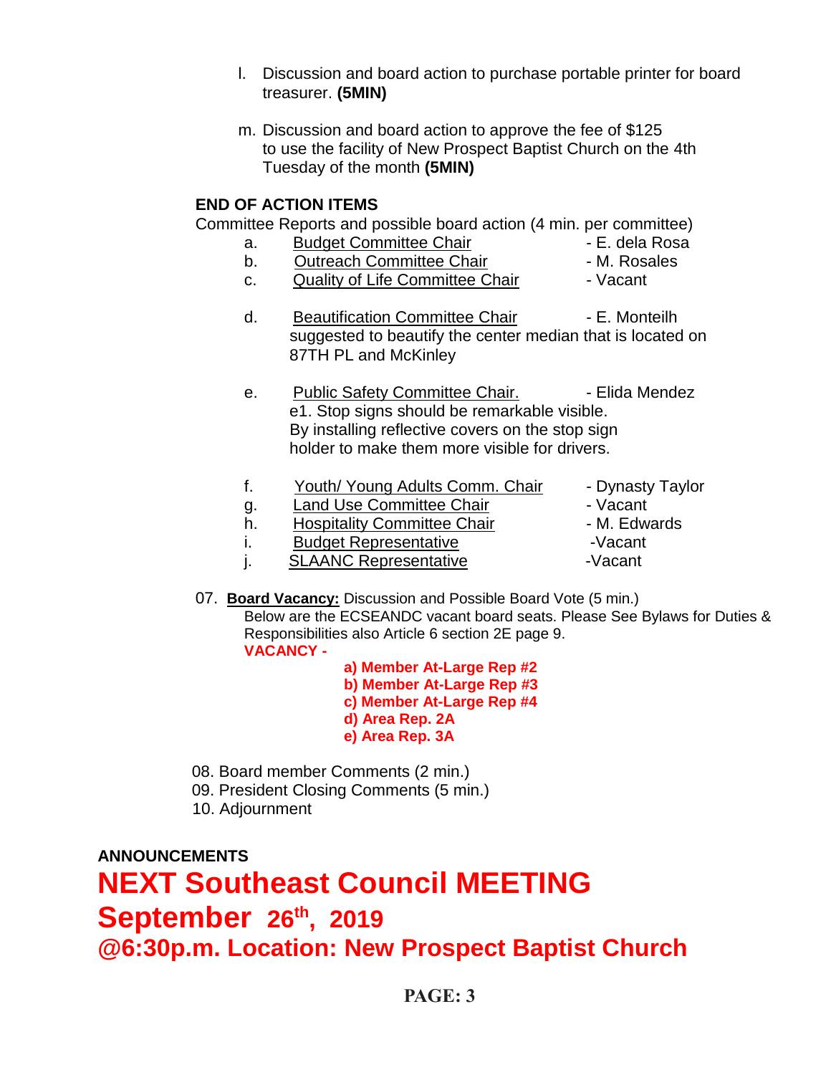- l. Discussion and board action to purchase portable printer for board treasurer. **(5MIN)**
- m. Discussion and board action to approve the fee of \$125 to use the facility of New Prospect Baptist Church on the 4th Tuesday of the month **(5MIN)**

### **END OF ACTION ITEMS**

Committee Reports and possible board action (4 min. per committee)

- a. Budget Committee Chair  **E. dela Rosa** 
	-
- b. Contreach Committee Chair The M. Rosales c. Quality of Life Committee Chair - Vacant
- d. Beautification Committee Chair Fame E. Monteilh suggested to beautify the center median that is located on 87TH PL and McKinley
- e. Public Safety Committee Chair. - Elida Mendez e1. Stop signs should be remarkable visible. By installing reflective covers on the stop sign holder to make them more visible for drivers.
- f. Youth/ Young Adults Comm. Chair Dynasty Taylor g. Land Use Committee Chair<br>
h. Hospitality Committee Chair - M. Edwards h. Hospitality Committee Chair i. Budget Representative **Fig. 1.** Vacant j. SLAANC Representative -Vacant
- 07. **Board Vacancy:** Discussion and Possible Board Vote (5 min.) Below are the ECSEANDC vacant board seats. Please See Bylaws for Duties & Responsibilities also Article 6 section 2E page 9. **VACANCY** 
	- **a) Member At-Large Rep #2 b) Member At-Large Rep #3 c) Member At-Large Rep #4 d) Area Rep. 2A e) Area Rep. 3A**
- 08. Board member Comments (2 min.)
- 09. President Closing Comments (5 min.)
- 10. Adjournment

**ANNOUNCEMENTS**

**NEXT Southeast Council MEETING September 26th , 2019 @6:30p.m. Location: New Prospect Baptist Church**